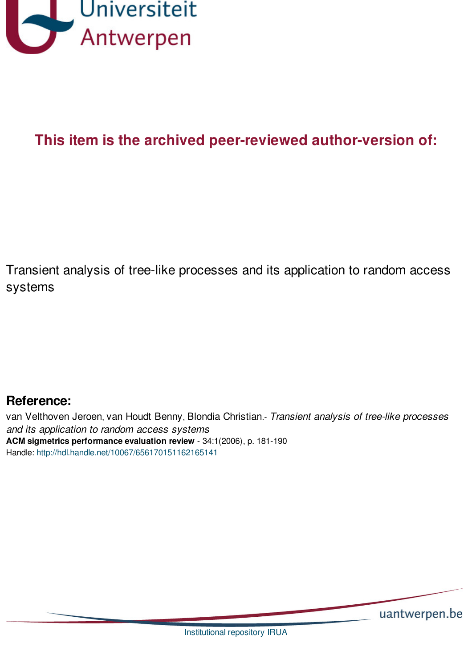

# **This item is the archived peer-reviewed author-version of:**

Transient analysis of tree-like processes and its application to random access systems

## **Reference:**

van Velthoven Jeroen, van Houdt Benny, Blondia Christian.- *Transient analysis of tree-like processes and its application to random access systems* **ACM sigmetrics performance evaluation review** - 34:1(2006), p. 181-190 Handle: <http://hdl.handle.net/10067/656170151162165141>

uantwerpen.be

[Institutional](http://anet.uantwerpen.be/irua) repository IRUA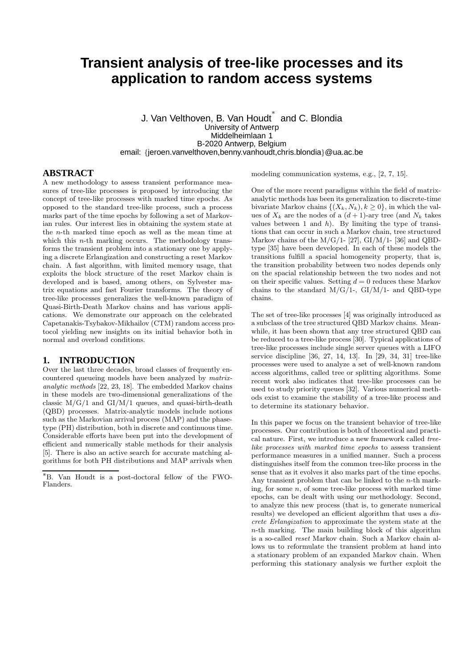### **Transient analysis of tree-like processes and its application to random access systems**

J. Van Velthoven, B. Van Houdt ∗ and C. Blondia University of Antwerp Middelheimlaan 1 B-2020 Antwerp, Belgium email: {jeroen.vanvelthoven,benny.vanhoudt,chris.blondia}@ua.ac.be

#### **ABSTRACT**

A new methodology to assess transient performance measures of tree-like processes is proposed by introducing the concept of tree-like processes with marked time epochs. As opposed to the standard tree-like process, such a process marks part of the time epochs by following a set of Markovian rules. Our interest lies in obtaining the system state at the n-th marked time epoch as well as the mean time at which this *n*-th marking occurs. The methodology transforms the transient problem into a stationary one by applying a discrete Erlangization and constructing a reset Markov chain. A fast algorithm, with limited memory usage, that exploits the block structure of the reset Markov chain is developed and is based, among others, on Sylvester matrix equations and fast Fourier transforms. The theory of tree-like processes generalizes the well-known paradigm of Quasi-Birth-Death Markov chains and has various applications. We demonstrate our approach on the celebrated Capetanakis-Tsybakov-Mikhailov (CTM) random access protocol yielding new insights on its initial behavior both in normal and overload conditions.

#### **1. INTRODUCTION**

Over the last three decades, broad classes of frequently encountered queueing models have been analyzed by matrixanalytic methods [22, 23, 18]. The embedded Markov chains in these models are two-dimensional generalizations of the classic M/G/1 and GI/M/1 queues, and quasi-birth-death (QBD) processes. Matrix-analytic models include notions such as the Markovian arrival process (MAP) and the phasetype (PH) distribution, both in discrete and continuous time. Considerable efforts have been put into the development of efficient and numerically stable methods for their analysis [5]. There is also an active search for accurate matching algorithms for both PH distributions and MAP arrivals when modeling communication systems, e.g., [2, 7, 15].

One of the more recent paradigms within the field of matrixanalytic methods has been its generalization to discrete-time bivariate Markov chains  $\{(X_k, N_k), k \geq 0\}$ , in which the values of  $X_k$  are the nodes of a  $(d+1)$ -ary tree (and  $N_k$  takes values between 1 and  $h$ ). By limiting the type of transitions that can occur in such a Markov chain, tree structured Markov chains of the  $M/G/1$ - [27],  $GI/M/1$ - [36] and OBDtype [35] have been developed. In each of these models the transitions fulfill a spacial homogeneity property, that is, the transition probability between two nodes depends only on the spacial relationship between the two nodes and not on their specific values. Setting  $d = 0$  reduces these Markov chains to the standard  $M/G/1$ -,  $GI/M/1$ - and QBD-type chains.

The set of tree-like processes [4] was originally introduced as a subclass of the tree structured QBD Markov chains. Meanwhile, it has been shown that any tree structured QBD can be reduced to a tree-like process [30]. Typical applications of tree-like processes include single server queues with a LIFO service discipline [36, 27, 14, 13]. In [29, 34, 31] tree-like processes were used to analyze a set of well-known random access algorithms, called tree or splitting algorithms. Some recent work also indicates that tree-like processes can be used to study priority queues [32]. Various numerical methods exist to examine the stability of a tree-like process and to determine its stationary behavior.

In this paper we focus on the transient behavior of tree-like processes. Our contribution is both of theoretical and practical nature. First, we introduce a new framework called treelike processes with marked time epochs to assess transient performance measures in a unified manner. Such a process distinguishes itself from the common tree-like process in the sense that as it evolves it also marks part of the time epochs. Any transient problem that can be linked to the  $n$ -th marking, for some  $n$ , of some tree-like process with marked time epochs, can be dealt with using our methodology. Second, to analyze this new process (that is, to generate numerical results) we developed an efficient algorithm that uses a *dis*crete Erlangization to approximate the system state at the n-th marking. The main building block of this algorithm is a so-called reset Markov chain. Such a Markov chain allows us to reformulate the transient problem at hand into a stationary problem of an expanded Markov chain. When performing this stationary analysis we further exploit the

<sup>∗</sup>B. Van Houdt is a post-doctoral fellow of the FWO-Flanders.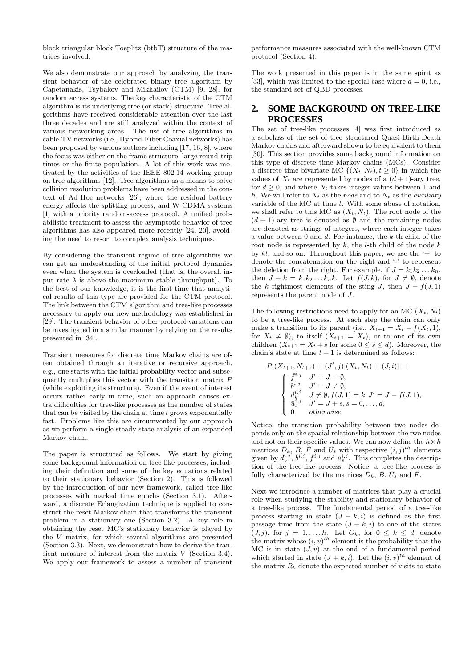block triangular block Toeplitz (btbT) structure of the matrices involved.

We also demonstrate our approach by analyzing the transient behavior of the celebrated binary tree algorithm by Capetanakis, Tsybakov and Mikhailov (CTM) [9, 28], for random access systems. The key characteristic of the CTM algorithm is its underlying tree (or stack) structure. Tree algorithms have received considerable attention over the last three decades and are still analyzed within the context of various networking areas. The use of tree algorithms in cable-TV networks (i.e., Hybrid-Fiber Coaxial networks) has been proposed by various authors including [17, 16, 8], where the focus was either on the frame structure, large round-trip times or the finite population. A lot of this work was motivated by the activities of the IEEE 802.14 working group on tree algorithms [12]. Tree algorithms as a means to solve collision resolution problems have been addressed in the context of Ad-Hoc networks [26], where the residual battery energy affects the splitting process, and W-CDMA systems [1] with a priority random-access protocol. A unified probabilistic treatment to assess the asymptotic behavior of tree algorithms has also appeared more recently [24, 20], avoiding the need to resort to complex analysis techniques.

By considering the transient regime of tree algorithms we can get an understanding of the initial protocol dynamics even when the system is overloaded (that is, the overall input rate  $\lambda$  is above the maximum stable throughput). To the best of our knowledge, it is the first time that analytical results of this type are provided for the CTM protocol. The link between the CTM algorithm and tree-like processes necessary to apply our new methodology was established in [29]. The transient behavior of other protocol variations can be investigated in a similar manner by relying on the results presented in [34].

Transient measures for discrete time Markov chains are often obtained through an iterative or recursive approach, e.g., one starts with the initial probability vector and subsequently multiplies this vector with the transition matrix P (while exploiting its structure). Even if the event of interest occurs rather early in time, such an approach causes extra difficulties for tree-like processes as the number of states that can be visited by the chain at time  $t$  grows exponentially fast. Problems like this are circumvented by our approach as we perform a single steady state analysis of an expanded Markov chain.

The paper is structured as follows. We start by giving some background information on tree-like processes, including their definition and some of the key equations related to their stationary behavior (Section 2). This is followed by the introduction of our new framework, called tree-like processes with marked time epochs (Section 3.1). Afterward, a discrete Erlangization technique is applied to construct the reset Markov chain that transforms the transient problem in a stationary one (Section 3.2). A key role in obtaining the reset MC's stationary behavior is played by the V matrix, for which several algorithms are presented (Section 3.3). Next, we demonstrate how to derive the transient measure of interest from the matrix V (Section 3.4). We apply our framework to assess a number of transient performance measures associated with the well-known CTM protocol (Section 4).

The work presented in this paper is in the same spirit as [33], which was limited to the special case where  $d = 0$ , i.e., the standard set of QBD processes.

#### **2. SOME BACKGROUND ON TREE-LIKE PROCESSES**

The set of tree-like processes [4] was first introduced as a subclass of the set of tree structured Quasi-Birth-Death Markov chains and afterward shown to be equivalent to them [30]. This section provides some background information on this type of discrete time Markov chains (MCs). Consider a discrete time bivariate MC  $\{(X_t, N_t), t \geq 0\}$  in which the values of  $X_t$  are represented by nodes of a  $(d+1)$ -ary tree, for  $d > 0$ , and where  $N_t$  takes integer values between 1 and h. We will refer to  $X_t$  as the node and to  $N_t$  as the *auxiliary* variable of the MC at time  $t$ . With some abuse of notation, we shall refer to this MC as  $(X_t, N_t)$ . The root node of the  $(d + 1)$ -ary tree is denoted as  $\emptyset$  and the remaining nodes are denoted as strings of integers, where each integer takes a value between 0 and d. For instance, the k-th child of the root node is represented by  $k$ , the *l*-th child of the node  $k$ by  $kl$ , and so on. Throughout this paper, we use the '+' to denote the concatenation on the right and '-' to represent the deletion from the right. For example, if  $J = k_1 k_2 \dots k_n$ , then  $J + k = k_1 k_2 ... k_n k$ . Let  $f(J, k)$ , for  $J \neq \emptyset$ , denote the k rightmost elements of the sting J, then  $J - f(J, 1)$ represents the parent node of J.

The following restrictions need to apply for an MC  $(X_t, N_t)$ to be a tree-like process. At each step the chain can only make a transition to its parent (i.e.,  $X_{t+1} = X_t - f(X_t, 1)$ , for  $X_t \neq \emptyset$ , to itself  $(X_{t+1} = X_t)$ , or to one of its own children  $(X_{t+1} = X_t + s$  for some  $0 \le s \le d$ ). Moreover, the chain's state at time  $t + 1$  is determined as follows:

$$
P[(X_{t+1}, N_{t+1}) = (J', j)|(X_t, N_t) = (J, i)] =
$$
\n
$$
\begin{cases}\n\overline{f}^{i,j} & J' = J = \emptyset, \\
\overline{b}^{i,j} & J' = J \neq \emptyset, \\
\overline{d}^{i,j}_k & J \neq \emptyset, f(J, 1) = k, J' = J - f(J, 1), \\
\overline{u}^{i,j}_s & J' = J + s, s = 0, \dots, d, \\
0 & otherwise\n\end{cases}
$$

Notice, the transition probability between two nodes depends only on the spacial relationship between the two nodes and not on their specific values. We can now define the  $h \times h$ matrices  $\bar{D}_k$ ,  $\bar{B}$ ,  $\bar{F}$  and  $\bar{U}_s$  with respective  $(i, j)^{th}$  elements given by  $\bar{d}_k^{i,j}, \bar{b}^{i,j}, \bar{f}^{i,j}$  and  $\bar{u}_s^{i,j}$ . This completes the description of the tree-like process. Notice, a tree-like process is fully characterized by the matrices  $\bar{D}_k$ ,  $\bar{B}$ ,  $\bar{U}_s$  and  $\bar{F}$ .

Next we introduce a number of matrices that play a crucial role when studying the stability and stationary behavior of a tree-like process. The fundamental period of a tree-like process starting in state  $(J + k, i)$  is defined as the first passage time from the state  $(J + k, i)$  to one of the states  $(J, j)$ , for  $j = 1, \ldots, h$ . Let  $G_k$ , for  $0 \leq k \leq d$ , denote the matrix whose  $(i, v)^{th}$  element is the probability that the MC is in state  $(J, v)$  at the end of a fundamental period which started in state  $(J + k, i)$ . Let the  $(i, v)^{th}$  element of the matrix  $R_k$  denote the expected number of visits to state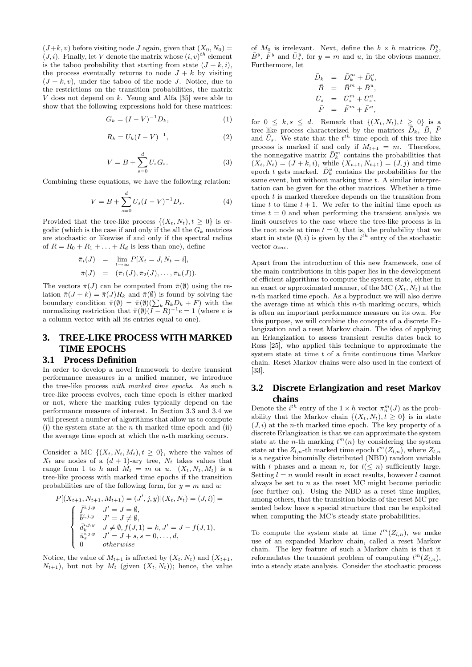$(J+k, v)$  before visiting node J again, given that  $(X_0, N_0) =$  $(J, i)$ . Finally, let V denote the matrix whose  $(i, v)^{th}$  element is the taboo probability that starting from state  $(J + k, i)$ , the process eventually returns to node  $J + k$  by visiting  $(J + k, v)$ , under the taboo of the node J. Notice, due to the restrictions on the transition probabilities, the matrix V does not depend on k. Yeung and Alfa [35] were able to show that the following expressions hold for these matrices:

$$
G_k = (I - V)^{-1} D_k,
$$
 (1)

$$
R_k = U_k (I - V)^{-1},
$$
\n(2)

$$
V = B + \sum_{s=0}^{d} U_s G_s.
$$
 (3)

Combining these equations, we have the following relation:

$$
V = B + \sum_{s=0}^{d} U_s (I - V)^{-1} D_s.
$$
 (4)

Provided that the tree-like process  $\{(X_t, N_t), t \geq 0\}$  is ergodic (which is the case if and only if the all the  $G_k$  matrices are stochastic or likewise if and only if the spectral radius of  $R = R_0 + R_1 + \ldots + R_d$  is less than one), define

$$
\begin{array}{rcl}\n\bar{\pi}_i(J) & = & \lim_{t \to \infty} P[X_t = J, N_t = i], \\
\bar{\pi}(J) & = & (\bar{\pi}_1(J), \bar{\pi}_2(J), \dots, \bar{\pi}_h(J)).\n\end{array}
$$

The vectors  $\bar{\pi}(J)$  can be computed from  $\bar{\pi}(\emptyset)$  using the relation  $\bar{\pi}(J + k) = \bar{\pi}(J)R_k$  and  $\bar{\pi}(\emptyset)$  is found by solving the boundary condition  $\bar{\pi}(\emptyset) = \bar{\pi}(\emptyset) (\sum_k R_k D_k + F)$  with the normalizing restriction that  $\bar{\pi}(\emptyset)(I - R)^{-1}e = 1$  (where e is a column vector with all its entries equal to one).

### **3. TREE-LIKE PROCESS WITH MARKED TIME EPOCHS**

#### **3.1 Process Definition**

In order to develop a novel framework to derive transient performance measures in a unified manner, we introduce the tree-like process with marked time epochs. As such a tree-like process evolves, each time epoch is either marked or not, where the marking rules typically depend on the performance measure of interest. In Section 3.3 and 3.4 we will present a number of algorithms that allow us to compute (i) the system state at the n-th marked time epoch and (ii) the average time epoch at which the n-th marking occurs.

Consider a MC  $\{(X_t, N_t, M_t), t \geq 0\}$ , where the values of  $X_t$  are nodes of a  $(d + 1)$ -ary tree,  $N_t$  takes values that range from 1 to h and  $M_t = m$  or u.  $(X_t, N_t, M_t)$  is a tree-like process with marked time epochs if the transition probabilities are of the following form, for  $y = m$  and u:

$$
P[(X_{t+1}, N_{t+1}, M_{t+1}) = (J', j, y) | (X_t, N_t) = (J, i)] =
$$
\n
$$
\begin{cases}\n\bar{f}^{i,j,y} & J' = J = \emptyset, \\
\bar{b}^{i,j,y} & J' = J \neq \emptyset, \\
d^{i,j,y} & J \neq \emptyset, f(J, 1) = k, J' = J - f(J, 1), \\
d^{i,j,y} & J' = J + s, s = 0, \dots, d, \\
0 & otherwise\n\end{cases}
$$

Notice, the value of  $M_{t+1}$  is affected by  $(X_t, N_t)$  and  $(X_{t+1},$  $N_{t+1}$ , but not by  $M_t$  (given  $(X_t, N_t)$ ); hence, the value

of  $M_0$  is irrelevant. Next, define the  $h \times h$  matrices  $\bar{D}_k^y$ ,  $\bar{B}^y$ ,  $\bar{F}^y$  and  $\bar{U}_s^y$ , for  $y = m$  and u, in the obvious manner. Furthermore, let

$$
\begin{array}{rcl} \bar{D}_k &=& \bar{D}_k^m + \bar{D}_k^u,\\ \bar{B} &=& \bar{B}^m + \bar{B}^u,\\ \bar{U}_s &=& \bar{U}_s^m + \bar{U}_s^u,\\ \bar{F} &=& \bar{F}^m + \bar{F}^u, \end{array}
$$

for  $0 \leq k, s \leq d$ . Remark that  $\{(X_t, N_t), t \geq 0\}$  is a tree-like process characterized by the matrices  $\overline{\overline{D}}_k$ ,  $\overline{B}$ ,  $\overline{F}$ and  $\bar{U}_s$ . We state that the  $t^{th}$  time epoch of this tree-like process is marked if and only if  $M_{t+1} = m$ . Therefore, the nonnegative matrix  $\bar{D}_k^m$  contains the probabilities that  $(X_t, N_t) = (J + k, i)$ , while  $(X_{t+1}, N_{t+1}) = (J, j)$  and time epoch t gets marked.  $\bar{D}_k^u$  contains the probabilities for the same event, but without marking time  $t$ . A similar interpretation can be given for the other matrices. Whether a time epoch t is marked therefore depends on the transition from time t to time  $t + 1$ . We refer to the initial time epoch as time  $t = 0$  and when performing the transient analysis we limit ourselves to the case where the tree-like process is in the root node at time  $t = 0$ , that is, the probability that we start in state  $(\emptyset, i)$  is given by the i<sup>th</sup> entry of the stochastic vector  $\alpha_{ini}$ .

Apart from the introduction of this new framework, one of the main contributions in this paper lies in the development of efficient algorithms to compute the system state, either in an exact or approximated manner, of the MC  $(X_t, N_t)$  at the n-th marked time epoch. As a byproduct we will also derive the average time at which this  $n$ -th marking occurs, which is often an important performance measure on its own. For this purpose, we will combine the concepts of a discrete Erlangization and a reset Markov chain. The idea of applying an Erlangization to assess transient results dates back to Ross [25], who applied this technique to approximate the system state at time t of a finite continuous time Markov chain. Reset Markov chains were also used in the context of [33].

#### **3.2 Discrete Erlangization and reset Markov chains**

Denote the  $i^{th}$  entry of the  $1 \times h$  vector  $\pi_n^m(J)$  as the probability that the Markov chain  $\{(X_t, N_t), t \geq 0\}$  is in state  $(J, i)$  at the n-th marked time epoch. The key property of a discrete Erlangization is that we can approximate the system state at the *n*-th marking  $t^m(n)$  by considering the system state at the  $Z_{l,n}$ -th marked time epoch  $t^m(Z_{l,n})$ , where  $Z_{l,n}$ is a negative binomially distributed (NBD) random variable with l phases and a mean n, for  $l(< n)$  sufficiently large. Setting  $l = n$  would result in exact results, however l cannot always be set to  $n$  as the reset MC might become periodic (see further on). Using the NBD as a reset time implies, among others, that the transition blocks of the reset MC presented below have a special structure that can be exploited when computing the MC's steady state probabilities.

To compute the system state at time  $t^m(Z_{l,n})$ , we make use of an expanded Markov chain, called a reset Markov chain. The key feature of such a Markov chain is that it reformulates the transient problem of computing  $t^m(Z_{l,n}),$ into a steady state analysis. Consider the stochastic process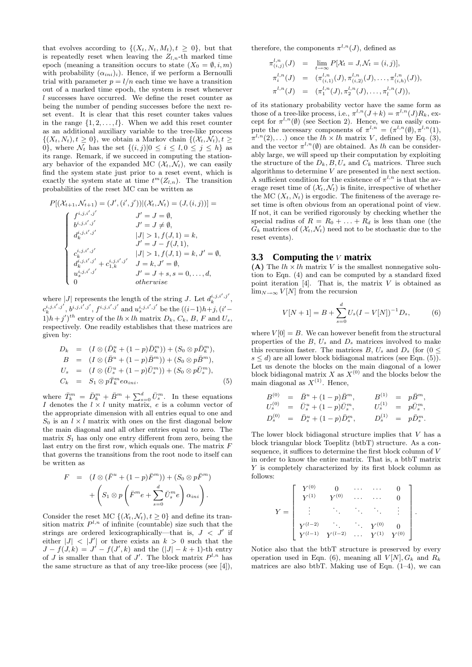that evolves according to  $\{(X_t, N_t, M_t), t \geq 0\}$ , but that is repeatedly reset when leaving the  $Z_{l,n}$ -th marked time epoch (meaning a transition occurs to state  $(X_0 = \emptyset, i, m)$ with probability  $(\alpha_{ini})_i$ ). Hence, if we perform a Bernoulli trial with parameter  $p = l/n$  each time we have a transition out of a marked time epoch, the system is reset whenever l successes have occurred. We define the reset counter as being the number of pending successes before the next reset event. It is clear that this reset counter takes values in the range  $\{1, 2, \ldots, l\}$ . When we add this reset counter as an additional auxiliary variable to the tree-like process  $\{(X_t, N_t), t \geq 0\}$ , we obtain a Markov chain  $\{(\mathcal{X}_t, \mathcal{N}_t), t \geq 0\}$ 0, where  $\mathcal{N}_t$  has the set  $\{(i, j)|0 \leq i \leq l, 0 \leq j \leq h\}$  as its range. Remark, if we succeed in computing the stationary behavior of the expanded MC  $(\mathcal{X}_t, \mathcal{N}_t)$ , we can easily find the system state just prior to a reset event, which is exactly the system state at time  $t^m(Z_{l,n})$ . The transition probabilities of the reset MC can be written as

$$
P[(\mathcal{X}_{t+1}, \mathcal{N}_{t+1}) = (J', (i', j')) | (\mathcal{X}_t, \mathcal{N}_t) = (J, (i, j)) ] =
$$
\n
$$
\begin{cases}\nf^{i, j, i', j'} & J' = J = \emptyset, \\
b^{i, j, i', j'} & J' = J \neq \emptyset, \\
d^{i, j, i', j'}_{k} & |J| > 1, f(J, 1) = k, \\
J' = J - f(J, 1), \\
c^{i, j, i', j'}_{k} & |J| > 1, f(J, 1) = k, J' = \emptyset, \\
d^{i, j, i', j'}_{k} + c^{i, j, i', j'}_{1, k} & J = k, J' = \emptyset, \\
u^{i, j, i', j'}_{s} & J = k, J' = \emptyset, \\
u^{i, j, i', j'}_{s} & J' = J + s, s = 0, \dots, d, \\
0 & otherwise\n\end{cases}
$$

where  $|J|$  represents the length of the string J. Let  $d_k^{i,j,i',j'}$ ,  $c_k^{i,j,i',j'}, b^{i,j,i',j'}, f^{i,j,i',j'}$  and  $u_s^{i,j,i',j'}$  be the  $((i-1)h+j, (i'-1)h)$  $(1)h+j^{\prime})^{th}$  entry of the  $lh \times lh$  matrix  $D_k$ ,  $C_k$ ,  $B$ ,  $F$  and  $U_s$ , respectively. One readily establishes that these matrices are given by:

$$
D_k = (I \otimes (\bar{D}_k^u + (1 - p)\bar{D}_k^m)) + (S_0 \otimes p\bar{D}_k^m),
$$
  
\n
$$
B = (I \otimes (\bar{B}^u + (1 - p)\bar{B}^m)) + (S_0 \otimes p\bar{B}^m),
$$
  
\n
$$
U_s = (I \otimes (\bar{U}_s^u + (1 - p)\bar{U}_s^m)) + (S_0 \otimes p\bar{U}_s^m),
$$
  
\n
$$
C_k = S_1 \otimes p\bar{T}_k^m e\alpha_{ini}.
$$
\n(5)

where  $\bar{T}_k^m = \bar{D}_k^m + \bar{B}^m + \sum_{s=0}^d \bar{U}_s^m$ . In these equations I denotes the  $l \times l$  unity matrix, e is a column vector of the appropriate dimension with all entries equal to one and  $S_0$  is an  $l \times l$  matrix with ones on the first diagonal below the main diagonal and all other entries equal to zero. The matrix  $S_1$  has only one entry different from zero, being the last entry on the first row, which equals one. The matrix  $F$ that governs the transitions from the root node to itself can be written as

$$
F = (I \otimes (\bar{F}^u + (1 - p)\bar{F}^m)) + (S_0 \otimes p\bar{F}^m) + \left(S_1 \otimes p\left(\bar{F}^m e + \sum_{s=0}^d \bar{U}_s^m e\right) \alpha_{ini}\right).
$$

Consider the reset MC  $\{(\mathcal{X}_t, \mathcal{N}_t), t \geq 0\}$  and define its transition matrix  $P^{l,n}$  of infinite (countable) size such that the strings are ordered lexicographically—that is,  $J < J'$  if either  $|J| < |J'|$  or there exists an  $k > 0$  such that the  $J - f(J, k) = J' - f(J', k)$  and the  $(|J| - k + 1)$ -th entry of *J* is smaller than that of *J'*. The block matrix  $P^{l,n}$  has the same structure as that of any tree-like process (see [4]), therefore, the components  $\pi^{l,n}(J)$ , defined as

$$
\begin{array}{rcl}\n\pi_{(i,j)}^{l,n}(J) & = & \lim_{t \to \infty} P[\mathcal{X}_t = J, \mathcal{N}_t = (i,j)], \\
\pi_i^{l,n}(J) & = & \left(\pi_{(i,1)}^{l,n}(J), \pi_{(i,2)}^{l,n}(J), \dots, \pi_{(i,h)}^{l,n}(J)\right), \\
\pi^{l,n}(J) & = & \left(\pi_1^{l,n}(J), \pi_2^{l,n}(J), \dots, \pi_l^{l,n}(J)\right),\n\end{array}
$$

of its stationary probability vector have the same form as those of a tree-like process, i.e.,  $\pi^{l,n}(J+k) = \pi^{l,n}(J)R_k$ , except for  $\pi^{l,n}(\emptyset)$  (see Section 2). Hence, we can easily compute the necessary components of  $\pi^{l,n} = (\pi^{l,n}(\emptyset), \pi^{l,n}(1)),$  $\pi^{l,n}(2), \ldots$ ) once the  $lh \times lh$  matrix V, defined by Eq. (3), and the vector  $\pi^{l,n}(\emptyset)$  are obtained. As lh can be considerably large, we will speed up their computation by exploiting the structure of the  $D_k, B, U_s$  and  $C_k$  matrices. Three such algorithms to determine  $V$  are presented in the next section. A sufficient condition for the existence of  $\pi^{l,n}$  is that the average reset time of  $(\mathcal{X}_t, \mathcal{N}_t)$  is finite, irrespective of whether the MC  $(X_t, N_t)$  is ergodic. The finiteness of the average reset time is often obvious from an operational point of view. If not, it can be verified rigorously by checking whether the special radius of  $R = R_0 + \ldots + R_d$  is less than one (the  $G_k$  matrices of  $(\mathcal{X}_t, \mathcal{N}_t)$  need not to be stochastic due to the reset events).

#### **3.3 Computing the** V **matrix**

(A) The  $lh \times lh$  matrix V is the smallest nonnegative solution to Eqn. (4) and can be computed by a standard fixed point iteration [4]. That is, the matrix  $V$  is obtained as  $\lim_{N\to\infty}V[N]$  from the recursion

$$
V[N+1] = B + \sum_{s=0}^{d} U_s (I - V[N])^{-1} D_s, \tag{6}
$$

where  $V[0] = B$ . We can however benefit from the structural properties of the  $B, U_s$  and  $D_s$  matrices involved to make this recursion faster. The matrices B,  $U_s$  and  $D_s$  (for  $(0 \leq$  $s \leq d$ ) are all lower block bidiagonal matrices (see Eqn. (5)). Let us denote the blocks on the main diagonal of a lower block bidiagonal matrix X as  $X^{(0)}$  and the blocks below the main diagonal as  $X^{(1)}$ . Hence,

$$
B^{(0)} = \bar{B}^{u} + (1-p)\bar{B}^{m}, \t B^{(1)} = p\bar{B}^{m},
$$
  
\n
$$
U_s^{(0)} = \bar{U}_s^{u} + (1-p)\bar{U}_s^{m}, \t U_s^{(1)} = p\bar{U}_s^{m},
$$
  
\n
$$
D_s^{(0)} = \bar{D}_s^{u} + (1-p)\bar{D}_s^{m}, \t D_s^{(1)} = p\bar{D}_s^{m}.
$$

The lower block bidiagonal structure implies that  $V$  has a block triangular block Toeplitz (btbT) structure. As a consequence, it suffices to determine the first block column of V in order to know the entire matrix. That is, a btbT matrix Y is completely characterized by its first block column as follows:

$$
Y = \begin{bmatrix} Y^{(0)} & 0 & \cdots & \cdots & 0 \\ Y^{(1)} & Y^{(0)} & \cdots & \cdots & 0 \\ \vdots & \ddots & \ddots & \ddots & \vdots \\ Y^{(l-2)} & \cdots & \cdots & Y^{(0)} & 0 \\ Y^{(l-1)} & Y^{(l-2)} & \cdots & Y^{(1)} & Y^{(0)} \end{bmatrix}.
$$

Notice also that the btbT structure is preserved by every operation used in Eqn. (6), meaning all  $V[N], G_k$  and  $R_k$ matrices are also btbT. Making use of Eqn.  $(1-4)$ , we can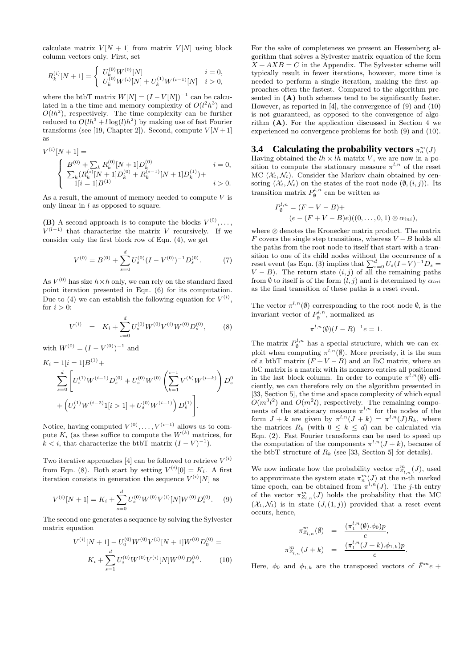calculate matrix  $V[N+1]$  from matrix  $V[N]$  using block column vectors only. First, set

$$
R_k^{(i)}[N+1]=\left\{\begin{array}{ll} U_k^{(0)}W^{(0)}[N] & i=0,\\ U_k^{(0)}W^{(i)}[N]+U_k^{(1)}W^{(i-1)}[N] & i>0,\end{array}\right.
$$

where the btbT matrix  $W[N] = (I - V[N])^{-1}$  can be calculated in a the time and memory complexity of  $O(l^2h^3)$  and  $O(lh^2)$ , respectively. The time complexity can be further reduced to  $O(lh^3 + l\log(l)h^2)$  by making use of fast Fourier transforms (see [19, Chapter 2]). Second, compute  $V[N+1]$ as

$$
\label{eq:V} \begin{split} V^{(i)}[N+1] &= \\ \left\{ \begin{array}{ll} B^{(0)} + \sum_k R_k^{(0)} [N+1] D_k^{(0)} & i=0, \\ \sum_k (R_k^{(i)} [N+1] D_k^{(0)} + R_k^{(i-1)} [N+1] D_k^{(1)}) + \\ 1[i=1] B^{(1)} & i>0. \end{array} \right. \end{split}
$$

As a result, the amount of memory needed to compute  $V$  is only linear in  $l$  as opposed to square.

**(B)** A second approach is to compute the blocks  $V^{(0)}, \ldots$ ,  $V^{(l-1)}$  that characterize the matrix V recursively. If we consider only the first block row of Eqn. (4), we get

$$
V^{(0)} = B^{(0)} + \sum_{s=0}^{d} U_s^{(0)} (I - V^{(0)})^{-1} D_s^{(0)}.
$$
 (7)

As  $V^{(0)}$  has size  $h \times h$  only, we can rely on the standard fixed point iteration presented in Eqn. (6) for its computation. Due to (4) we can establish the following equation for  $V^{(i)}$ , for  $i > 0$ :

$$
V^{(i)} = K_i + \sum_{s=0}^{d} U_s^{(0)} W^{(0)} V^{(i)} W^{(0)} D_s^{(0)}, \qquad (8)
$$

with  $W^{(0)} = (I - V^{(0)})^{-1}$  and

$$
K_i = 1[i = 1]B^{(1)} +
$$
  
\n
$$
\sum_{s=0}^d \left[ U_s^{(1)} W^{(i-1)} D_s^{(0)} + U_s^{(0)} W^{(0)} \left( \sum_{k=1}^{i-1} V^{(k)} W^{(i-k)} \right) D_s^0 \right.
$$
  
\n
$$
+ \left( U_s^{(1)} W^{(i-2)} 1[i > 1] + U_s^{(0)} W^{(i-1)} \right) D_s^{(1)}.
$$

Notice, having computed  $V^{(0)}, \ldots, V^{(i-1)}$  allows us to compute  $K_i$  (as these suffice to compute the  $W^{(k)}$  matrices, for  $k < i$ , that characterize the btbT matrix  $(I - V)^{-1}$ ).

Two iterative approaches [4] can be followed to retrieve  $V^{(i)}$ from Eqn. (8). Both start by setting  $V^{(i)}[0] = K_i$ . A first iteration consists in generation the sequence  $V^{(i)}[N]$  as

$$
V^{(i)}[N+1] = K_i + \sum_{s=0}^{d} U_s^{(0)} W^{(0)} V^{(i)}[N] W^{(0)} D_s^{(0)}.
$$
 (9)

The second one generates a sequence by solving the Sylvester matrix equation

$$
V^{(i)}[N+1] - U_0^{(0)}W^{(0)}V^{(i)}[N+1]W^{(0)}D_0^{(0)} = K_i + \sum_{s=1}^d U_s^{(0)}W^{(0)}V^{(i)}[N]W^{(0)}D_s^{(0)}.
$$
 (10)

For the sake of completeness we present an Hessenberg algorithm that solves a Sylvester matrix equation of the form  $X + AXB = C$  in the Appendix. The Sylvester scheme will typically result in fewer iterations, however, more time is needed to perform a single iteration, making the first approaches often the fastest. Compared to the algorithm presented in  $(A)$  both schemes tend to be significantly faster. However, as reported in [4], the convergence of (9) and (10) is not guaranteed, as opposed to the convergence of algorithm  $(A)$ . For the application discussed in Section 4 we experienced no convergence problems for both (9) and (10).

#### **3.4** Calculating the probability vectors  $\pi_n^m(J)$

Having obtained the  $lh \times lh$  matrix V, we are now in a position to compute the stationary measure  $\pi^{l,n}$  of the reset MC  $(\mathcal{X}_t, \mathcal{N}_t)$ . Consider the Markov chain obtained by censoring  $(\mathcal{X}_t, \mathcal{N}_t)$  on the states of the root node  $(\emptyset, (i,j))$ . Its transition matrix  $P_{\emptyset}^{l,n}$  can be written as

$$
P_{\emptyset}^{l,n} = (F + V - B) +
$$
  
(e - (F + V - B)e)((0, ..., 0, 1)  $\otimes \alpha_{ini}$ ),

where ⊗ denotes the Kronecker matrix product. The matrix F covers the single step transitions, whereas  $V - B$  holds all the paths from the root node to itself that start with a transition to one of its child nodes without the occurrence of a reset event (as Eqn. (3) implies that  $\sum_{s=0}^{d} U_s (I - V)^{-1} D_s =$  $V - B$ ). The return state  $(i, j)$  of all the remaining paths from  $\emptyset$  to itself is of the form  $(l, j)$  and is determined by  $\alpha_{ini}$ as the final transition of these paths is a reset event.

The vector  $\pi^{l,n}(\emptyset)$  corresponding to the root node  $\emptyset$ , is the invariant vector of  $P_{\emptyset}^{l,n}$ , normalized as

$$
\pi^{l,n}(\emptyset)(I-R)^{-1}e=1.
$$

The matrix  $P_{\emptyset}^{l,n}$  has a special structure, which we can exploit when computing  $\pi^{l,n}(\emptyset)$ . More precisely, it is the sum of a btbT matrix  $(F + V - B)$  and an lbC matrix, where an lbC matrix is a matrix with its nonzero entries all positioned in the last block column. In order to compute  $\pi^{l,n}(\emptyset)$  efficiently, we can therefore rely on the algorithm presented in [33, Section 5], the time and space complexity of which equal  $O(m^3l^2)$  and  $O(m^2l)$ , respectively. The remaining components of the stationary measure  $\pi^{l,n}$  for the nodes of the form  $J + k$  are given by  $\pi^{l,n}(J + k) = \pi^{l,n}(J)R_k$ , where the matrices  $R_k$  (with  $0 \leq k \leq d$ ) can be calculated via Eqn. (2). Fast Fourier transforms can be used to speed up the computation of the components  $\pi^{l,n}(J + k)$ , because of the btbT structure of  $R_k$  (see [33, Section 5] for details).

We now indicate how the probability vector  $\pi^m_{Z_{l,n}}(J)$ , used to approximate the system state  $\pi_n^m(J)$  at the *n*-th marked time epoch, can be obtained from  $\pi^{l,n}(J)$ . The j-th entry of the vector  $\pi^m_{Z_{l,n}}(J)$  holds the probability that the MC  $(\mathcal{X}_t, \mathcal{N}_t)$  is in state  $(J, (1, j))$  provided that a reset event occurs, hence,

$$
\pi_{Z_{l,n}}^m(\emptyset) = \frac{(\pi_1^{l,n}(\emptyset).\phi_0)p}{c},
$$
  

$$
\pi_{Z_{l,n}}^m(J+k) = \frac{(\pi_1^{l,n}(J+k).\phi_{1,k})p}{c}.
$$

Here,  $\phi_0$  and  $\phi_{1,k}$  are the transposed vectors of  $\bar{F}^m e$  +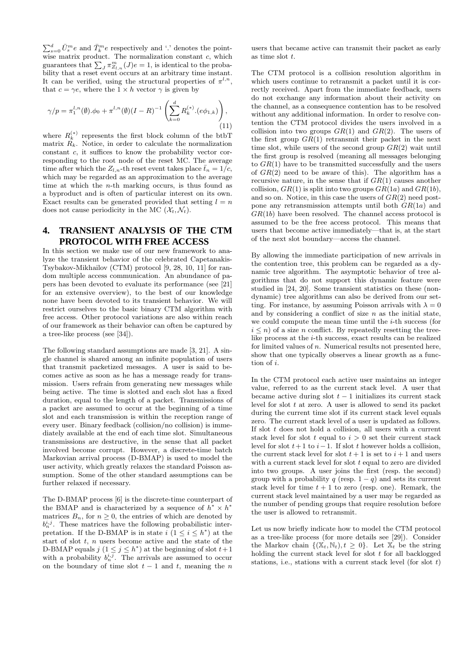$\sum_{s=0}^{d} \bar{U}_{s}^{m} e$  and  $\bar{T}_{k}^{m} e$  respectively and '.' denotes the pointwise matrix product. The normalization constant  $c$ , which guarantees that  $\sum_{J} \pi_{Z_{l,n}}^{m}(J)e = 1$ , is identical to the probability that a reset event occurs at an arbitrary time instant. It can be verified, using the structural properties of  $\pi^{l,n}$ , that  $c = \gamma e$ , where the  $1 \times h$  vector  $\gamma$  is given by

$$
\gamma/p = \pi_1^{l,n}(\emptyset) \cdot \phi_0 + \pi^{l,n}(\emptyset) (I - R)^{-1} \left( \sum_{k=0}^d R_k^{(*)} \cdot (e\phi_{1,k}) \right), \tag{11}
$$

where  $R_k^{(*)}$  represents the first block column of the btbT matrix  $R_k$ . Notice, in order to calculate the normalization constant c, it suffices to know the probability vector corresponding to the root node of the reset MC. The average time after which the  $Z_{l,n}$ -th reset event takes place  $\bar{t}_n = 1/c$ , which may be regarded as an approximation to the average time at which the n-th marking occurs, is thus found as a byproduct and is often of particular interest on its own. Exact results can be generated provided that setting  $l = n$ does not cause periodicity in the MC  $(\mathcal{X}_t, \mathcal{N}_t)$ .

#### **4. TRANSIENT ANALYSIS OF THE CTM PROTOCOL WITH FREE ACCESS**

In this section we make use of our new framework to analyze the transient behavior of the celebrated Capetanakis-Tsybakov-Mikhailov (CTM) protocol [9, 28, 10, 11] for random multiple access communication. An abundance of papers has been devoted to evaluate its performance (see [21] for an extensive overview), to the best of our knowledge none have been devoted to its transient behavior. We will restrict ourselves to the basic binary CTM algorithm with free access. Other protocol variations are also within reach of our framework as their behavior can often be captured by a tree-like process (see [34]).

The following standard assumptions are made [3, 21]. A single channel is shared among an infinite population of users that transmit packetized messages. A user is said to becomes active as soon as he has a message ready for transmission. Users refrain from generating new messages while being active. The time is slotted and each slot has a fixed duration, equal to the length of a packet. Transmissions of a packet are assumed to occur at the beginning of a time slot and each transmission is within the reception range of every user. Binary feedback (collision/no collision) is immediately available at the end of each time slot. Simultaneous transmissions are destructive, in the sense that all packet involved become corrupt. However, a discrete-time batch Markovian arrival process (D-BMAP) is used to model the user activity, which greatly relaxes the standard Poisson assumption. Some of the other standard assumptions can be further relaxed if necessary.

The D-BMAP process [6] is the discrete-time counterpart of the BMAP and is characterized by a sequence of  $h^* \times h^*$ matrices  $B_n$ , for  $n \geq 0$ , the entries of which are denoted by  $b_n^{i,j}$ . These matrices have the following probabilistic interpretation. If the D-BMAP is in state  $i$   $(1 \leq i \leq h^*)$  at the start of slot  $t$ ,  $n$  users become active and the state of the D-BMAP equals  $j$   $(1 \leq j \leq h^*)$  at the beginning of slot  $t+1$ with a probability  $b_n^{i,j}$ . The arrivals are assumed to occur on the boundary of time slot  $t - 1$  and t, meaning the n

users that became active can transmit their packet as early as time slot t.

The CTM protocol is a collision resolution algorithm in which users continue to retransmit a packet until it is correctly received. Apart from the immediate feedback, users do not exchange any information about their activity on the channel, as a consequence contention has to be resolved without any additional information. In order to resolve contention the CTM protocol divides the users involved in a collision into two groups  $GR(1)$  and  $GR(2)$ . The users of the first group  $GR(1)$  retransmit their packet in the next time slot, while users of the second group  $GR(2)$  wait until the first group is resolved (meaning all messages belonging to  $GR(1)$  have to be transmitted successfully and the users of  $GR(2)$  need to be aware of this). The algorithm has a recursive nature, in the sense that if  $GR(1)$  causes another collision,  $GR(1)$  is split into two groups  $GR(1a)$  and  $GR(1b)$ . and so on. Notice, in this case the users of  $GR(2)$  need postpone any retransmission attempts until both  $GR(1a)$  and  $GR(1b)$  have been resolved. The channel access protocol is assumed to be the free access protocol. This means that users that become active immediately—that is, at the start of the next slot boundary—access the channel.

By allowing the immediate participation of new arrivals in the contention tree, this problem can be regarded as a dynamic tree algorithm. The asymptotic behavior of tree algorithms that do not support this dynamic feature were studied in [24, 20]. Some transient statistics on these (nondynamic) tree algorithms can also be derived from our setting. For instance, by assuming Poisson arrivals with  $\lambda = 0$ and by considering a conflict of size  $n$  as the initial state, we could compute the mean time until the  $i$ -th success (for  $i \leq n$ ) of a size *n* conflict. By repeatedly resetting the treelike process at the i-th success, exact results can be realized for limited values of  $n$ . Numerical results not presented here, show that one typically observes a linear growth as a function of i.

In the CTM protocol each active user maintains an integer value, referred to as the current stack level. A user that became active during slot  $t - 1$  initializes its current stack level for slot  $t$  at zero. A user is allowed to send its packet during the current time slot if its current stack level equals zero. The current stack level of a user is updated as follows. If slot  $t$  does not hold a collision, all users with a current stack level for slot t equal to  $i > 0$  set their current stack level for slot  $t+1$  to  $i-1$ . If slot t however holds a collision, the current stack level for slot  $t + 1$  is set to  $i + 1$  and users with a current stack level for slot  $t$  equal to zero are divided into two groups. A user joins the first (resp. the second) group with a probability q (resp.  $1 - q$ ) and sets its current stack level for time  $t + 1$  to zero (resp. one). Remark, the current stack level maintained by a user may be regarded as the number of pending groups that require resolution before the user is allowed to retransmit.

Let us now briefly indicate how to model the CTM protocol as a tree-like process (for more details see [29]). Consider the Markov chain  $\{(\mathbb{X}_t, \mathbb{N}_t), t \geq 0\}$ . Let  $\mathbb{X}_t$  be the string holding the current stack level for slot  $t$  for all backlogged stations, i.e., stations with a current stack level (for slot  $t$ )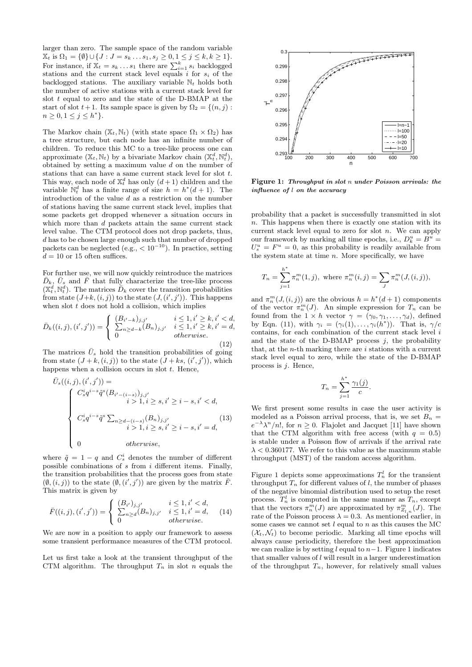larger than zero. The sample space of the random variable  $\mathbb{X}_t$  is  $\Omega_1 = \{ \emptyset \} \cup \{ J : J = s_k \dots s_1, s_j \geq 0, 1 \leq j \leq k, k \geq 1 \}.$ For instance, if  $\mathbb{X}_t = s_k \dots s_1$  there are  $\sum_{i=1}^k s_i$  backlogged stations and the current stack level equals  $i$  for  $s_i$  of the backlogged stations. The auxiliary variable  $\mathbb{N}_t$  holds both the number of active stations with a current stack level for slot  $t$  equal to zero and the state of the D-BMAP at the start of slot  $t+1$ . Its sample space is given by  $\Omega_2 = \{(n, j):$  $n \geq 0, 1 \leq j \leq h^*$ .

The Markov chain  $(\mathbb{X}_t, \mathbb{N}_t)$  (with state space  $\Omega_1 \times \Omega_2$ ) has a tree structure, but each node has an infinite number of children. To reduce this MC to a tree-like process one can approximate  $(\mathbb{X}_t, \mathbb{N}_t)$  by a bivariate Markov chain  $(\mathbb{X}_t^d, \mathbb{N}_t^d)$ , obtained by setting a maximum value  $d$  on the number of stations that can have a same current stack level for slot t. This way, each node of  $\mathbb{X}_t^d$  has only  $(d+1)$  children and the variable  $\mathbb{N}_t^d$  has a finite range of size  $h = h^*(d+1)$ . The introduction of the value  $d$  as a restriction on the number of stations having the same current stack level, implies that some packets get dropped whenever a situation occurs in which more than d packets attain the same current stack level value. The CTM protocol does not drop packets, thus, d has to be chosen large enough such that number of dropped packets can be neglected (e.g.,  $< 10^{-10}$ ). In practice, setting  $d = 10$  or 15 often suffices.

For further use, we will now quickly reintroduce the matrices  $\bar{D}_k$ ,  $\bar{U}_s$  and  $\bar{F}$  that fully characterize the tree-like process  $(\mathbb{X}_t^d, \mathbb{N}_t^d)$ . The matrices  $\bar{D}_k$  cover the transition probabilities from state  $(J+k, (i, j))$  to the state  $(J, (i', j'))$ . This happens when slot  $t$  does not hold a collision, which implies

$$
\bar{D}_k((i,j),(i',j')) = \begin{cases}\n(B_{i'-k})_{j,j'} & i \leq 1, i' \geq k, i' < d, \\
\sum_{n \geq d-k} (B_n)_{j,j'} & i \leq 1, i' \geq k, i' = d, \\
0 & \text{otherwise.}\n\end{cases}
$$
\n(12)

The matrices  $\bar{U}_s$  hold the transition probabilities of going from state  $(J + k, (i, j))$  to the state  $(J + ks, (i', j'))$ , which happens when a collision occurs in slot  $t$ . Hence,

$$
\bar{U}_s((i,j), (i',j')) = \n\begin{cases}\nC_s^i q^{i-s} \tilde{q}^s (B_{i'-(i-s)})_{j,j'} & i > 1, i \ge s, i' \ge i - s, i' < d, \\
i > 1, i \ge s, i' \ge i - s, i' < d, \\
C_s^i q^{i-s} \tilde{q}^s \sum_{n \ge d - (i-s)} (B_n)_{j,j'} & i > 1, i \ge s, i' \ge i - s, i' = d, \\
0 & otherwise,\n\end{cases} \tag{13}
$$

where  $\tilde{q} = 1 - q$  and  $C_s^i$  denotes the number of different possible combinations of  $s$  from  $i$  different items. Finally, the transition probabilities that the process goes from state  $(\emptyset, (i,j))$  to the state  $(\emptyset, (i',j'))$  are given by the matrix  $\overline{F}$ . This matrix is given by

$$
\bar{F}((i,j),(i',j')) = \begin{cases}\n(B_{i'})_{j,j'} & i \leq 1, i' < d, \\
\sum_{n \geq d} (B_n)_{j,j'} & i \leq 1, i' = d, \\
0 & otherwise.\n\end{cases}
$$
\n(14)

We are now in a position to apply our framework to assess some transient performance measures of the CTM protocol.

Let us first take a look at the transient throughput of the CTM algorithm. The throughput  $T_n$  in slot n equals the



Figure 1: Throughput in slot n under Poisson arrivals: the influence of l on the accuracy

probability that a packet is successfully transmitted in slot  $n.$  This happens when there is exactly one station with its current stack level equal to zero for slot  $n$ . We can apply our framework by marking all time epochs, i.e.,  $D_k^u = B^u =$  $U_s^u = F^u = 0$ , as this probability is readily available from the system state at time  $n$ . More specifically, we have

$$
T_n = \sum_{j=1}^{h^*} \pi_n^m(1, j), \text{ where } \pi_n^m(i, j) = \sum_J \pi_n^m(J, (i, j)),
$$

and  $\pi_n^m(J,(i,j))$  are the obvious  $h = h^*(d+1)$  components of the vector  $\pi_n^m(J)$ . An simple expression for  $T_n$  can be found from the  $1 \times h$  vector  $\gamma = (\gamma_0, \gamma_1, \ldots, \gamma_d)$ , defined by Eqn. (11), with  $\gamma_i = (\gamma_i(1), \ldots, \gamma_i(h^*))$ . That is,  $\gamma/c$ contains, for each combination of the current stack level  $i$ and the state of the D-BMAP process  $j$ , the probability that, at the  $n$ -th marking there are  $i$  stations with a current stack level equal to zero, while the state of the D-BMAP process is  $j$ . Hence,

$$
T_n = \sum_{j=1}^{h^*} \frac{\gamma_1(j)}{c}.
$$

We first present some results in case the user activity is modeled as a Poisson arrival process, that is, we set  $B_n =$  $e^{-\lambda} \lambda^n/n!$ , for  $n \geq 0$ . Flajolet and Jacquet [11] have shown that the CTM algorithm with free access (with  $q = 0.5$ ) is stable under a Poisson flow of arrivals if the arrival rate  $\lambda < 0.360177$ . We refer to this value as the maximum stable throughput (MST) of the random access algorithm.

Figure 1 depicts some approximations  $T_n^l$  for the transient throughput  $T_n$  for different values of l, the number of phases of the negative binomial distribution used to setup the reset process.  $T_n^l$  is computed in the same manner as  $T_n$ , except that the vectors  $\pi_n^m(J)$  are approximated by  $\pi_{Z_{l,n}}^m(J)$ . The rate of the Poisson process  $\lambda = 0.3$ . As mentioned earlier, in some cases we cannot set  $l$  equal to  $n$  as this causes the MC  $(\mathcal{X}_t, \mathcal{N}_t)$  to become periodic. Marking all time epochs will always cause periodicity, therefore the best approximation we can realize is by setting l equal to  $n-1$ . Figure 1 indicates that smaller values of  $l$  will result in a larger underestimation of the throughput  $T_n$ , however, for relatively small values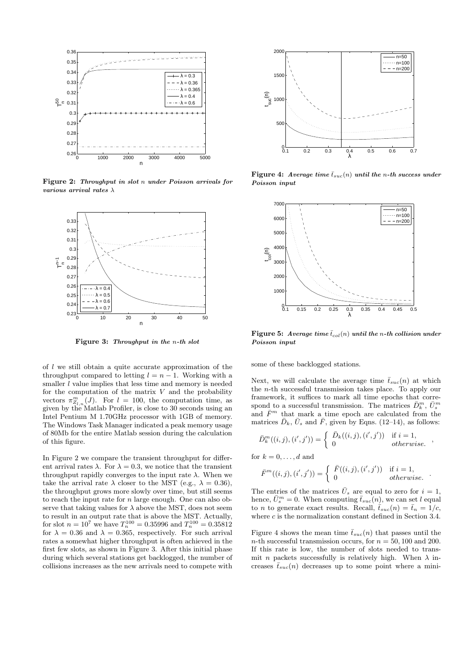

Figure 2: Throughput in slot n under Poisson arrivals for various arrival rates  $\lambda$ 



Figure 3: Throughput in the n-th slot

of  $l$  we still obtain a quite accurate approximation of the throughput compared to letting  $l = n - 1$ . Working with a smaller  $l$  value implies that less time and memory is needed for the computation of the matrix  $V$  and the probability vectors  $\pi_{Z_{l,n}}^m(J)$ . For  $l = 100$ , the computation time, as given by the Matlab Profiler, is close to 30 seconds using an Intel Pentium M 1.70GHz processor with 1GB of memory. The Windows Task Manager indicated a peak memory usage of 80Mb for the entire Matlab session during the calculation of this figure.

In Figure 2 we compare the transient throughput for different arrival rates  $\lambda$ . For  $\lambda = 0.3$ , we notice that the transient throughput rapidly converges to the input rate  $\lambda$ . When we take the arrival rate  $\lambda$  closer to the MST (e.g.,  $\lambda = 0.36$ ). the throughput grows more slowly over time, but still seems to reach the input rate for  $n$  large enough. One can also observe that taking values for  $\lambda$  above the MST, does not seem to result in an output rate that is above the MST. Actually, for slot  $n = 10^7$  we have  $T_n^{100} = 0.35996$  and  $T_n^{100} = 0.35812$ for  $\lambda = 0.36$  and  $\lambda = 0.365$ , respectively. For such arrival rates a somewhat higher throughput is often achieved in the first few slots, as shown in Figure 3. After this initial phase during which several stations get backlogged, the number of collisions increases as the new arrivals need to compete with



Figure 4: Average time  $\bar{t}_{suc}(n)$  until the n-th success under Poisson input



Figure 5: Average time  $\bar{t}_{col}(n)$  until the n-th collision under Poisson input

some of these backlogged stations.

Next, we will calculate the average time  $\bar{t}_{suc}(n)$  at which the n-th successful transmission takes place. To apply our framework, it suffices to mark all time epochs that correspond to a successful transmission. The matrices  $\bar{D}_{k}^{m}$ ,  $\bar{U}_{s}^{m}$ and  $\bar{F}^m$  that mark a time epoch are calculated from the matrices  $\bar{D}_k$ ,  $\bar{U}_s$  and  $\bar{F}$ , given by Eqns. (12–14), as follows:

$$
\bar{D}_{k}^{m}((i,j),(i',j')) = \begin{cases} \bar{D}_{k}((i,j),(i',j')) & \text{if } i = 1, \\ 0 & otherwise. \end{cases}
$$

for  $k = 0, \ldots, d$  and

$$
\bar{F}^m((i,j),(i',j')) = \begin{cases} \bar{F}((i,j),(i',j')) & \text{if } i = 1, \\ 0 & otherwise. \end{cases}
$$

The entries of the matrices  $\bar{U}_s$  are equal to zero for  $i = 1$ , hence,  $\bar{U}_s^m = 0$ . When computing  $\bar{t}_{suc}(n)$ , we can set l equal to *n* to generate exact results. Recall,  $\bar{t}_{suc}(n) = \bar{t}_n = 1/c$ , where  $c$  is the normalization constant defined in Section 3.4.

Figure 4 shows the mean time  $\bar{t}_{suc}(n)$  that passes until the *n*-th successful transmission occurs, for  $n = 50, 100$  and 200. If this rate is low, the number of slots needed to transmit *n* packets successfully is relatively high. When  $\lambda$  increases  $\bar{t}_{suc}(n)$  decreases up to some point where a mini-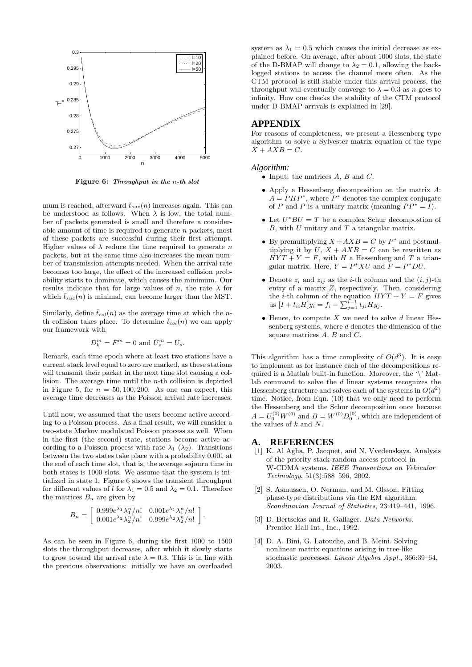

Figure 6: Throughput in the n-th slot

mum is reached, afterward  $\bar{t}_{suc}(n)$  increases again. This can be understood as follows. When  $\lambda$  is low, the total number of packets generated is small and therefore a considerable amount of time is required to generate n packets, most of these packets are successful during their first attempt. Higher values of  $\lambda$  reduce the time required to generate n packets, but at the same time also increases the mean number of transmission attempts needed. When the arrival rate becomes too large, the effect of the increased collision probability starts to dominate, which causes the minimum. Our results indicate that for large values of n, the rate  $\lambda$  for which  $\bar{t}_{suc}(n)$  is minimal, can become larger than the MST.

Similarly, define  $\bar{t}_{col}(n)$  as the average time at which the nth collision takes place. To determine  $\bar{t}_{col}(n)$  we can apply our framework with

$$
\bar{D}_k^m = \bar{F}^m = 0
$$
 and 
$$
\bar{U}_s^m = \bar{U}_s.
$$

Remark, each time epoch where at least two stations have a current stack level equal to zero are marked, as these stations will transmit their packet in the next time slot causing a collision. The average time until the n-th collision is depicted in Figure 5, for  $n = 50, 100, 200$ . As one can expect, this average time decreases as the Poisson arrival rate increases.

Until now, we assumed that the users become active according to a Poisson process. As a final result, we will consider a two-state Markov modulated Poisson process as well. When in the first (the second) state, stations become active according to a Poisson process with rate  $\lambda_1$  ( $\lambda_2$ ). Transitions between the two states take place with a probability 0.001 at the end of each time slot, that is, the average sojourn time in both states is 1000 slots. We assume that the system is initialized in state 1. Figure 6 shows the transient throughput for different values of l for  $\lambda_1 = 0.5$  and  $\lambda_2 = 0.1$ . Therefore the matrices  $B_n$  are given by

$$
B_n = \left[ \begin{array}{cc} 0.999e^{\lambda_1}\lambda_1^n/n! & 0.001e^{\lambda_1}\lambda_1^n/n! \\ 0.001e^{\lambda_2}\lambda_2^n/n! & 0.999e^{\lambda_2}\lambda_2^n/n! \end{array} \right]
$$

.

As can be seen in Figure 6, during the first 1000 to 1500 slots the throughput decreases, after which it slowly starts to grow toward the arrival rate  $\lambda = 0.3$ . This is in line with the previous observations: initially we have an overloaded

system as  $\lambda_1 = 0.5$  which causes the initial decrease as explained before. On average, after about 1000 slots, the state of the D-BMAP will change to  $\lambda_2 = 0.1$ , allowing the backlogged stations to access the channel more often. As the CTM protocol is still stable under this arrival process, the throughput will eventually converge to  $\lambda = 0.3$  as n goes to infinity. How one checks the stability of the CTM protocol under D-BMAP arrivals is explained in [29].

#### **APPENDIX**

For reasons of completeness, we present a Hessenberg type algorithm to solve a Sylvester matrix equation of the type  $X + AXB = C.$ 

#### *Algorithm:*

- Input: the matrices  $A, B$  and  $C$ .
- Apply a Hessenberg decomposition on the matrix  $A$ :  $A = PHP^*$ , where  $P^*$  denotes the complex conjugate of P and P is a unitary matrix (meaning  $PP^* = I$ ).
- Let  $U^*BU = T$  be a complex Schur decompostion of  $B$ , with  $U$  unitary and  $T$  a triangular matrix.
- By premultiplying  $X + AXB = C$  by  $P^*$  and postmultiplying it by  $U, X + AXB = C$  can be rewritten as  $HYT + Y = F$ , with H a Hessenberg and T a triangular matrix. Here,  $Y = P^*XU$  and  $F = P^*DU$ .
- Denote  $z_i$  and  $z_{ij}$  as the *i*-th column and the  $(i, j)$ -th entry of a matrix Z, respectively. Then, considering the *i*-th column of the equation  $HYT + Y = F$  gives us  $[I + t_{ii}H]y_i = f_i - \sum_{j=1}^{i-1} t_{ji}Hy_j.$
- Hence, to compute  $X$  we need to solve  $d$  linear Hessenberg systems, where  $d$  denotes the dimension of the square matrices  $A, B$  and  $C$ .

This algorithm has a time complexity of  $O(d^3)$ . It is easy to implement as for instance each of the decompositions required is a Matlab built-in function. Moreover, the '\' Matlab command to solve the  $d$  linear systems recognizes the Hessenberg structure and solves each of the systems in  $O(d^2)$ time. Notice, from Eqn. (10) that we only need to perform the Hessenberg and the Schur decomposition once because  $A = U_0^{(0)} W^{(0)}$  and  $B = W^{(0)} D_0^{(0)}$ , which are independent of the values of  $k$  and  $N$ .

#### **A. REFERENCES**

- [1] K. Al Agha, P. Jacquet, and N. Vvedenskaya. Analysis of the priority stack random-access protocol in W-CDMA systems. IEEE Transactions on Vehicular Technology, 51(3):588–596, 2002.
- [2] S. Asmussen, O. Nerman, and M. Olsson. Fitting phase-type distributions via the EM algorithm. Scandinavian Journal of Statistics, 23:419–441, 1996.
- [3] D. Bertsekas and R. Gallager. Data Networks. Prentice-Hall Int., Inc., 1992.
- [4] D. A. Bini, G. Latouche, and B. Meini. Solving nonlinear matrix equations arising in tree-like stochastic processes. Linear Algebra Appl., 366:39–64, 2003.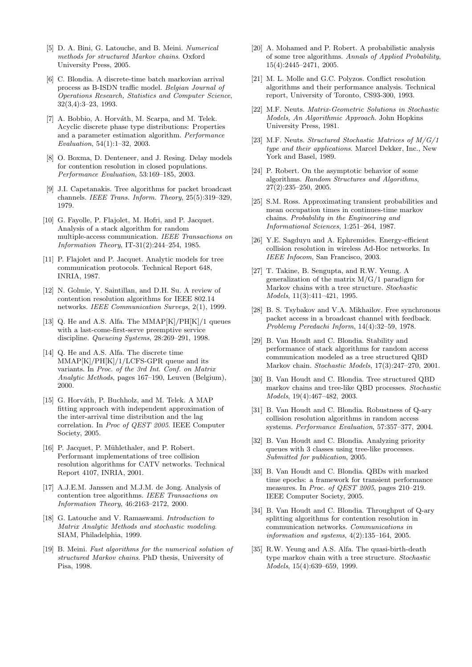- [5] D. A. Bini, G. Latouche, and B. Meini. Numerical methods for structured Markov chains. Oxford University Press, 2005.
- [6] C. Blondia. A discrete-time batch markovian arrival process as B-ISDN traffic model. Belgian Journal of Operations Research, Statistics and Computer Science, 32(3,4):3–23, 1993.
- [7] A. Bobbio, A. Horváth, M. Scarpa, and M. Telek. Acyclic discrete phase type distributions: Properties and a parameter estimation algorithm. Performance Evaluation, 54(1):1–32, 2003.
- [8] O. Boxma, D. Denteneer, and J. Resing. Delay models for contention resolution in closed populations. Performance Evaluation, 53:169–185, 2003.
- [9] J.I. Capetanakis. Tree algorithms for packet broadcast channels. IEEE Trans. Inform. Theory, 25(5):319–329, 1979.
- [10] G. Fayolle, P. Flajolet, M. Hofri, and P. Jacquet. Analysis of a stack algorithm for random multiple-access communication. IEEE Transactions on Information Theory, IT-31(2):244–254, 1985.
- [11] P. Flajolet and P. Jacquet. Analytic models for tree communication protocols. Technical Report 648, INRIA, 1987.
- [12] N. Golmie, Y. Saintillan, and D.H. Su. A review of contention resolution algorithms for IEEE 802.14 networks. IEEE Communication Surveys, 2(1), 1999.
- [13] Q. He and A.S. Alfa. The MMAP $[K]/PH[K]/1$  queues with a last-come-first-serve preemptive service discipline. Queueing Systems, 28:269–291, 1998.
- [14] Q. He and A.S. Alfa. The discrete time MMAP[K]/PH[K]/1/LCFS-GPR queue and its variants. In Proc. of the 3rd Int. Conf. on Matrix Analytic Methods, pages 167–190, Leuven (Belgium), 2000.
- [15] G. Horváth, P. Buchholz, and M. Telek. A MAP fitting approach with independent approximation of the inter-arrival time distribution and the lag correlation. In Proc of QEST 2005. IEEE Computer Society, 2005.
- [16] P. Jacquet, P. Mühlethaler, and P. Robert. Performant implementations of tree collision resolution algorithms for CATV networks. Technical Report 4107, INRIA, 2001.
- [17] A.J.E.M. Janssen and M.J.M. de Jong. Analysis of contention tree algorithms. IEEE Transactions on Information Theory, 46:2163–2172, 2000.
- [18] G. Latouche and V. Ramaswami. Introduction to Matrix Analytic Methods and stochastic modeling. SIAM, Philadelphia, 1999.
- [19] B. Meini. Fast algorithms for the numerical solution of structured Markov chains. PhD thesis, University of Pisa, 1998.
- [20] A. Mohamed and P. Robert. A probabilistic analysis of some tree algorithms. Annals of Applied Probability, 15(4):2445–2471, 2005.
- [21] M. L. Molle and G.C. Polyzos. Conflict resolution algorithms and their performance analysis. Technical report, University of Toronto, CS93-300, 1993.
- [22] M.F. Neuts. Matrix-Geometric Solutions in Stochastic Models, An Algorithmic Approach. John Hopkins University Press, 1981.
- [23] M.F. Neuts. Structured Stochastic Matrices of M/G/1 type and their applications. Marcel Dekker, Inc., New York and Basel, 1989.
- [24] P. Robert. On the asymptotic behavior of some algorithms. Random Structures and Algorithms, 27(2):235–250, 2005.
- [25] S.M. Ross. Approximating transient probabilities and mean occupation times in continues-time markov chains. Probability in the Engineering and Informational Sciences, 1:251–264, 1987.
- [26] Y.E. Sagduyu and A. Ephremides. Energy-efficient collision resolution in wireless Ad-Hoc networks. In IEEE Infocom, San Francisco, 2003.
- [27] T. Takine, B. Sengupta, and R.W. Yeung. A generalization of the matrix M/G/1 paradigm for Markov chains with a tree structure. Stochastic Models, 11(3):411–421, 1995.
- [28] B. S. Tsybakov and V.A. Mikhailov. Free synchronous packet access in a broadcast channel with feedback. Problemy Peredachi Inform, 14(4):32–59, 1978.
- [29] B. Van Houdt and C. Blondia. Stability and performance of stack algorithms for random access communication modeled as a tree structured QBD Markov chain. Stochastic Models, 17(3):247–270, 2001.
- [30] B. Van Houdt and C. Blondia. Tree structured QBD markov chains and tree-like QBD processes. Stochastic Models, 19(4):467–482, 2003.
- [31] B. Van Houdt and C. Blondia. Robustness of Q-ary collision resolution algorithms in random access systems. Performance Evaluation, 57:357–377, 2004.
- [32] B. Van Houdt and C. Blondia. Analyzing priority queues with 3 classes using tree-like processes. Submitted for publication, 2005.
- [33] B. Van Houdt and C. Blondia. QBDs with marked time epochs: a framework for transient performance measures. In Proc. of QEST 2005, pages 210–219. IEEE Computer Society, 2005.
- [34] B. Van Houdt and C. Blondia. Throughput of Q-ary splitting algorithms for contention resolution in communication networks. Communications in information and systems, 4(2):135–164, 2005.
- [35] R.W. Yeung and A.S. Alfa. The quasi-birth-death type markov chain with a tree structure. Stochastic Models, 15(4):639–659, 1999.